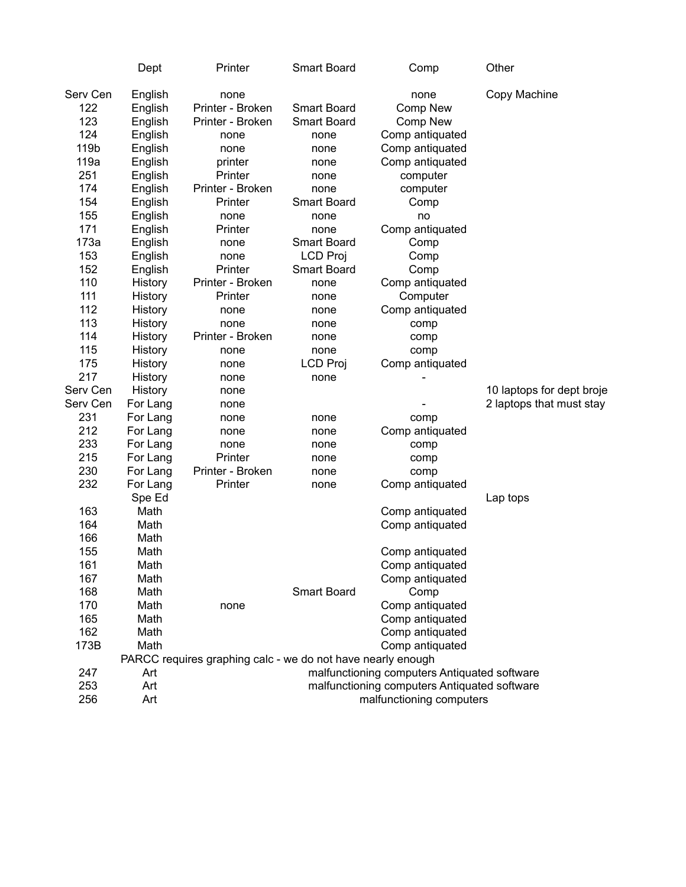|                                                                                                 | Dept                                                                                                                                        | Printer                                                                                                                                              | Smart Board                                                                                                                                              | Comp                                                                                                                                                                  | Other                     |  |
|-------------------------------------------------------------------------------------------------|---------------------------------------------------------------------------------------------------------------------------------------------|------------------------------------------------------------------------------------------------------------------------------------------------------|----------------------------------------------------------------------------------------------------------------------------------------------------------|-----------------------------------------------------------------------------------------------------------------------------------------------------------------------|---------------------------|--|
| Serv Cen<br>122<br>123<br>124<br>119b<br>119a<br>251<br>174<br>154<br>155<br>171<br>173a<br>153 | English<br>English<br>English<br>English<br>English<br>English<br>English<br>English<br>English<br>English<br>English<br>English<br>English | none<br>Printer - Broken<br>Printer - Broken<br>none<br>none<br>printer<br>Printer<br>Printer - Broken<br>Printer<br>none<br>Printer<br>none<br>none | <b>Smart Board</b><br><b>Smart Board</b><br>none<br>none<br>none<br>none<br>none<br>Smart Board<br>none<br>none<br><b>Smart Board</b><br><b>LCD Proj</b> | none<br><b>Comp New</b><br>Comp New<br>Comp antiquated<br>Comp antiquated<br>Comp antiquated<br>computer<br>computer<br>Comp<br>no<br>Comp antiquated<br>Comp<br>Comp | Copy Machine              |  |
| 152                                                                                             | English                                                                                                                                     | Printer                                                                                                                                              | <b>Smart Board</b>                                                                                                                                       | Comp                                                                                                                                                                  |                           |  |
| 110                                                                                             | History                                                                                                                                     | Printer - Broken                                                                                                                                     | none                                                                                                                                                     | Comp antiquated                                                                                                                                                       |                           |  |
| 111                                                                                             | History                                                                                                                                     | Printer                                                                                                                                              | none                                                                                                                                                     | Computer                                                                                                                                                              |                           |  |
| 112<br>113                                                                                      | History<br>History                                                                                                                          | none<br>none                                                                                                                                         | none<br>none                                                                                                                                             | Comp antiquated<br>comp                                                                                                                                               |                           |  |
| 114                                                                                             | History                                                                                                                                     | Printer - Broken                                                                                                                                     | none                                                                                                                                                     | comp                                                                                                                                                                  |                           |  |
| 115                                                                                             | History                                                                                                                                     | none                                                                                                                                                 | none                                                                                                                                                     | comp                                                                                                                                                                  |                           |  |
| 175                                                                                             | History                                                                                                                                     | none                                                                                                                                                 | <b>LCD Proj</b>                                                                                                                                          | Comp antiquated                                                                                                                                                       |                           |  |
| 217                                                                                             | History                                                                                                                                     | none                                                                                                                                                 | none                                                                                                                                                     |                                                                                                                                                                       |                           |  |
| Serv Cen                                                                                        | History                                                                                                                                     | none                                                                                                                                                 |                                                                                                                                                          |                                                                                                                                                                       | 10 laptops for dept broje |  |
| Serv Cen                                                                                        | For Lang                                                                                                                                    | none                                                                                                                                                 |                                                                                                                                                          |                                                                                                                                                                       | 2 laptops that must stay  |  |
| 231                                                                                             | For Lang                                                                                                                                    | none                                                                                                                                                 | none                                                                                                                                                     | comp                                                                                                                                                                  |                           |  |
| 212                                                                                             | For Lang                                                                                                                                    | none                                                                                                                                                 | none                                                                                                                                                     | Comp antiquated                                                                                                                                                       |                           |  |
| 233                                                                                             | For Lang                                                                                                                                    | none                                                                                                                                                 | none                                                                                                                                                     | comp                                                                                                                                                                  |                           |  |
| 215                                                                                             | For Lang                                                                                                                                    | Printer                                                                                                                                              | none                                                                                                                                                     | comp                                                                                                                                                                  |                           |  |
| 230                                                                                             | For Lang                                                                                                                                    | Printer - Broken                                                                                                                                     | none                                                                                                                                                     | comp                                                                                                                                                                  |                           |  |
| 232                                                                                             | For Lang                                                                                                                                    | Printer                                                                                                                                              | none                                                                                                                                                     | Comp antiquated                                                                                                                                                       |                           |  |
|                                                                                                 | Spe Ed                                                                                                                                      |                                                                                                                                                      |                                                                                                                                                          |                                                                                                                                                                       | Lap tops                  |  |
| 163<br>164                                                                                      | Math<br>Math                                                                                                                                |                                                                                                                                                      |                                                                                                                                                          | Comp antiquated                                                                                                                                                       |                           |  |
| 166                                                                                             | Math                                                                                                                                        |                                                                                                                                                      |                                                                                                                                                          | Comp antiquated                                                                                                                                                       |                           |  |
| 155                                                                                             | Math                                                                                                                                        |                                                                                                                                                      |                                                                                                                                                          | Comp antiquated                                                                                                                                                       |                           |  |
| 161                                                                                             | Math                                                                                                                                        |                                                                                                                                                      |                                                                                                                                                          | Comp antiquated                                                                                                                                                       |                           |  |
| 167                                                                                             | Math                                                                                                                                        |                                                                                                                                                      |                                                                                                                                                          | Comp antiquated                                                                                                                                                       |                           |  |
| 168                                                                                             | Math                                                                                                                                        |                                                                                                                                                      | Smart Board                                                                                                                                              | Comp                                                                                                                                                                  |                           |  |
| 170                                                                                             | Math                                                                                                                                        | none                                                                                                                                                 |                                                                                                                                                          | Comp antiquated                                                                                                                                                       |                           |  |
| 165                                                                                             | Math                                                                                                                                        |                                                                                                                                                      |                                                                                                                                                          | Comp antiquated                                                                                                                                                       |                           |  |
| 162                                                                                             | Math                                                                                                                                        |                                                                                                                                                      |                                                                                                                                                          | Comp antiquated                                                                                                                                                       |                           |  |
| 173B                                                                                            | Math                                                                                                                                        |                                                                                                                                                      |                                                                                                                                                          | Comp antiquated                                                                                                                                                       |                           |  |
|                                                                                                 | PARCC requires graphing calc - we do not have nearly enough                                                                                 |                                                                                                                                                      |                                                                                                                                                          |                                                                                                                                                                       |                           |  |
| 247                                                                                             | Art                                                                                                                                         |                                                                                                                                                      |                                                                                                                                                          | malfunctioning computers Antiquated software                                                                                                                          |                           |  |
| 253                                                                                             | Art                                                                                                                                         |                                                                                                                                                      |                                                                                                                                                          | malfunctioning computers Antiquated software                                                                                                                          |                           |  |
| 256                                                                                             | Art                                                                                                                                         |                                                                                                                                                      |                                                                                                                                                          | malfunctioning computers                                                                                                                                              |                           |  |